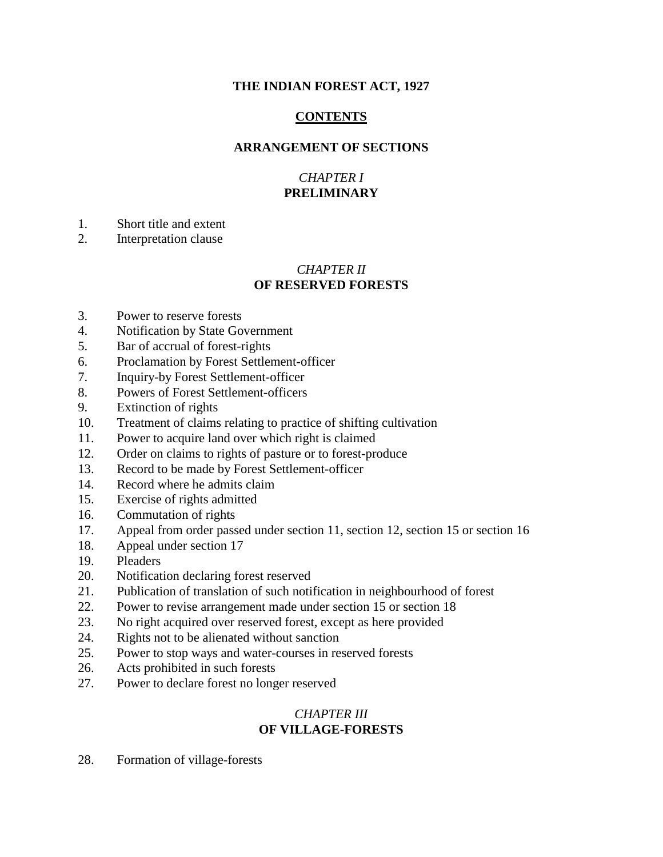# **THE INDIAN FOREST ACT, 1927**

# **CONTENTS**

# **ARRANGEMENT OF SECTIONS**

# *CHAPTER I* **PRELIMINARY**

- 1. Short title and extent
- 2. Interpretation clause

# *CHAPTER II* **OF RESERVED FORESTS**

- 3. Power to reserve forests
- 4. Notification by State Government
- 5. Bar of accrual of forest-rights
- 6. Proclamation by Forest Settlement-officer
- 7. Inquiry-by Forest Settlement-officer
- 8. Powers of Forest Settlement-officers
- 9. Extinction of rights
- 10. Treatment of claims relating to practice of shifting cultivation
- 11. Power to acquire land over which right is claimed
- 12. Order on claims to rights of pasture or to forest-produce
- 13. Record to be made by Forest Settlement-officer
- 14. Record where he admits claim
- 15. Exercise of rights admitted
- 16. Commutation of rights
- 17. Appeal from order passed under section 11, section 12, section 15 or section 16
- 18. Appeal under section 17
- 19. Pleaders
- 20. Notification declaring forest reserved
- 21. Publication of translation of such notification in neighbourhood of forest
- 22. Power to revise arrangement made under section 15 or section 18
- 23. No right acquired over reserved forest, except as here provided
- 24. Rights not to be alienated without sanction
- 25. Power to stop ways and water-courses in reserved forests
- 26. Acts prohibited in such forests
- 27. Power to declare forest no longer reserved

# *CHAPTER III* **OF VILLAGE-FORESTS**

28. Formation of village-forests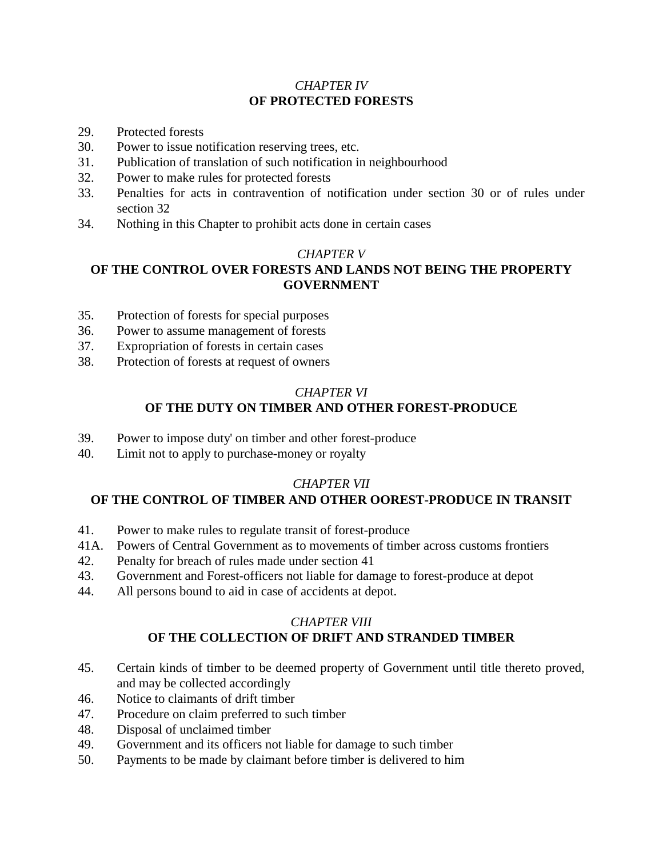# *CHAPTER IV* **OF PROTECTED FORESTS**

- 29. Protected forests
- 30. Power to issue notification reserving trees, etc.
- 31. Publication of translation of such notification in neighbourhood
- 32. Power to make rules for protected forests
- 33. Penalties for acts in contravention of notification under section 30 or of rules under section 32
- 34. Nothing in this Chapter to prohibit acts done in certain cases

# *CHAPTER V*

# **OF THE CONTROL OVER FORESTS AND LANDS NOT BEING THE PROPERTY GOVERNMENT**

- 35. Protection of forests for special purposes
- 36. Power to assume management of forests
- 37. Expropriation of forests in certain cases
- 38. Protection of forests at request of owners

# *CHAPTER VI* **OF THE DUTY ON TIMBER AND OTHER FOREST-PRODUCE**

- 39. Power to impose duty' on timber and other forest-produce
- 40. Limit not to apply to purchase-money or royalty

# *CHAPTER VII*

# **OF THE CONTROL OF TIMBER AND OTHER OOREST-PRODUCE IN TRANSIT**

- 41. Power to make rules to regulate transit of forest-produce
- 41A. Powers of Central Government as to movements of timber across customs frontiers
- 42. Penalty for breach of rules made under section 41
- 43. Government and Forest-officers not liable for damage to forest-produce at depot
- 44. All persons bound to aid in case of accidents at depot.

# *CHAPTER VIII*

# **OF THE COLLECTION OF DRIFT AND STRANDED TIMBER**

- 45. Certain kinds of timber to be deemed property of Government until title thereto proved, and may be collected accordingly
- 46. Notice to claimants of drift timber
- 47. Procedure on claim preferred to such timber
- 48. Disposal of unclaimed timber
- 49. Government and its officers not liable for damage to such timber
- 50. Payments to be made by claimant before timber is delivered to him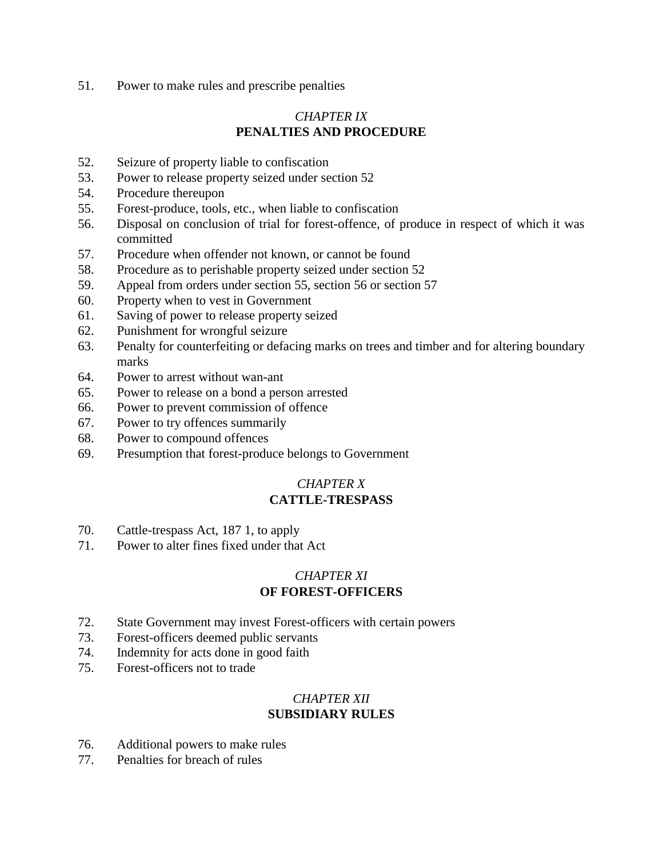51. Power to make rules and prescribe penalties

# *CHAPTER IX* **PENALTIES AND PROCEDURE**

- 52. Seizure of property liable to confiscation
- 53. Power to release property seized under section 52
- 54. Procedure thereupon
- 55. Forest-produce, tools, etc., when liable to confiscation
- 56. Disposal on conclusion of trial for forest-offence, of produce in respect of which it was committed
- 57. Procedure when offender not known, or cannot be found
- 58. Procedure as to perishable property seized under section 52
- 59. Appeal from orders under section 55, section 56 or section 57
- 60. Property when to vest in Government
- 61. Saving of power to release property seized
- 62. Punishment for wrongful seizure
- 63. Penalty for counterfeiting or defacing marks on trees and timber and for altering boundary marks
- 64. Power to arrest without wan-ant
- 65. Power to release on a bond a person arrested
- 66. Power to prevent commission of offence
- 67. Power to try offences summarily
- 68. Power to compound offences
- 69. Presumption that forest-produce belongs to Government

## *CHAPTER X* **CATTLE-TRESPASS**

- 70. Cattle-trespass Act, 187 1, to apply
- 71. Power to alter fines fixed under that Act

# *CHAPTER XI* **OF FOREST-OFFICERS**

- 72. State Government may invest Forest-officers with certain powers
- 73. Forest-officers deemed public servants
- 74. Indemnity for acts done in good faith
- 75. Forest-officers not to trade

# *CHAPTER XII* **SUBSIDIARY RULES**

- 76. Additional powers to make rules
- 77. Penalties for breach of rules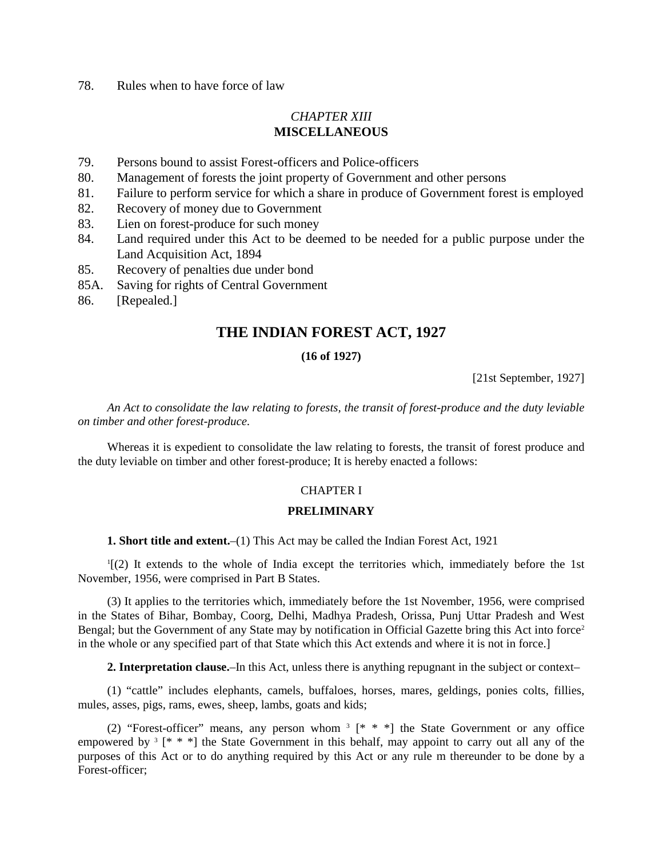## 78. Rules when to have force of law

# *CHAPTER XIII* **MISCELLANEOUS**

- 79. Persons bound to assist Forest-officers and Police-officers
- 80. Management of forests the joint property of Government and other persons
- 81. Failure to perform service for which a share in produce of Government forest is employed
- 82. Recovery of money due to Government
- 83. Lien on forest-produce for such money
- 84. Land required under this Act to be deemed to be needed for a public purpose under the Land Acquisition Act, 1894
- 85. Recovery of penalties due under bond
- 85A. Saving for rights of Central Government
- 86. [Repealed.]

# **THE INDIAN FOREST ACT, 1927**

## **(16 of 1927)**

[21st September, 1927]

*An Act to consolidate the law relating to forests, the transit of forest-produce and the duty leviable on timber and other forest-produce.*

Whereas it is expedient to consolidate the law relating to forests, the transit of forest produce and the duty leviable on timber and other forest-produce; It is hereby enacted a follows:

### CHAPTER I

### **PRELIMINARY**

**1. Short title and extent.**–(1) This Act may be called the Indian Forest Act, 1921

1 [(2) It extends to the whole of India except the territories which, immediately before the 1st November, 1956, were comprised in Part B States.

(3) It applies to the territories which, immediately before the 1st November, 1956, were comprised in the States of Bihar, Bombay, Coorg, Delhi, Madhya Pradesh, Orissa, Punj Uttar Pradesh and West Bengal; but the Government of any State may by notification in Official Gazette bring this Act into force<sup>2</sup> in the whole or any specified part of that State which this Act extends and where it is not in force.]

**2. Interpretation clause.**–In this Act, unless there is anything repugnant in the subject or context–

(1) "cattle" includes elephants, camels, buffaloes, horses, mares, geldings, ponies colts, fillies, mules, asses, pigs, rams, ewes, sheep, lambs, goats and kids;

(2) "Forest-officer" means, any person whom  $3 \times * *$ ] the State Government or any office empowered by <sup>3</sup> [\* \* \*] the State Government in this behalf, may appoint to carry out all any of the purposes of this Act or to do anything required by this Act or any rule m thereunder to be done by a Forest-officer;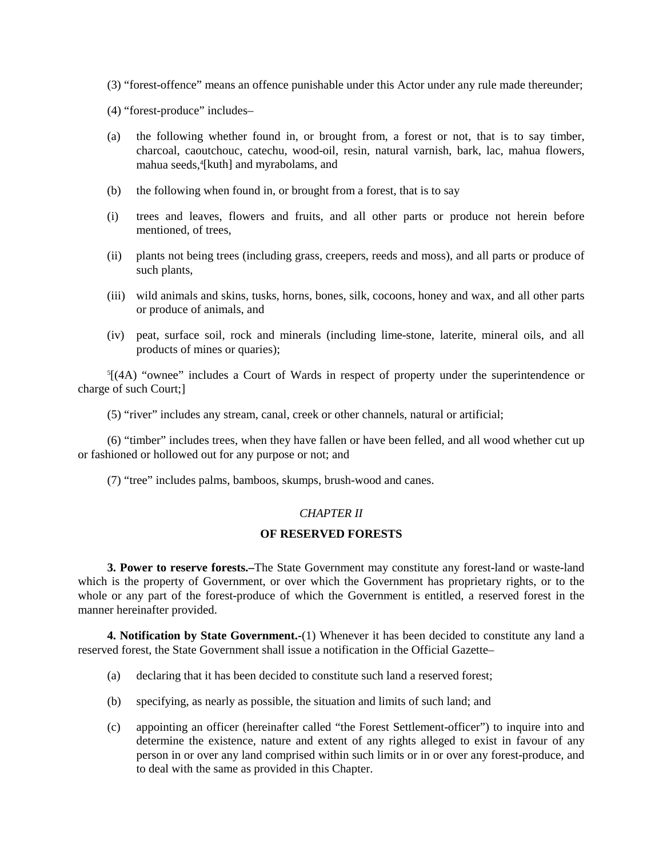- (3) "forest-offence" means an offence punishable under this Actor under any rule made thereunder;
- (4) "forest-produce" includes–
- (a) the following whether found in, or brought from, a forest or not, that is to say timber, charcoal, caoutchouc, catechu, wood-oil, resin, natural varnish, bark, lac, mahua flowers, mahua seeds,4 [kuth] and myrabolams, and
- (b) the following when found in, or brought from a forest, that is to say
- (i) trees and leaves, flowers and fruits, and all other parts or produce not herein before mentioned, of trees,
- (ii) plants not being trees (including grass, creepers, reeds and moss), and all parts or produce of such plants,
- (iii) wild animals and skins, tusks, horns, bones, silk, cocoons, honey and wax, and all other parts or produce of animals, and
- (iv) peat, surface soil, rock and minerals (including lime-stone, laterite, mineral oils, and all products of mines or quaries);

5 [(4A) "ownee" includes a Court of Wards in respect of property under the superintendence or charge of such Court;]

(5) "river" includes any stream, canal, creek or other channels, natural or artificial;

(6) "timber" includes trees, when they have fallen or have been felled, and all wood whether cut up or fashioned or hollowed out for any purpose or not; and

(7) "tree" includes palms, bamboos, skumps, brush-wood and canes.

## *CHAPTER II*

#### **OF RESERVED FORESTS**

**3. Power to reserve forests.–**The State Government may constitute any forest-land or waste-land which is the property of Government, or over which the Government has proprietary rights, or to the whole or any part of the forest-produce of which the Government is entitled, a reserved forest in the manner hereinafter provided.

**4. Notification by State Government.-**(1) Whenever it has been decided to constitute any land a reserved forest, the State Government shall issue a notification in the Official Gazette–

- (a) declaring that it has been decided to constitute such land a reserved forest;
- (b) specifying, as nearly as possible, the situation and limits of such land; and
- (c) appointing an officer (hereinafter called "the Forest Settlement-officer") to inquire into and determine the existence, nature and extent of any rights alleged to exist in favour of any person in or over any land comprised within such limits or in or over any forest-produce, and to deal with the same as provided in this Chapter.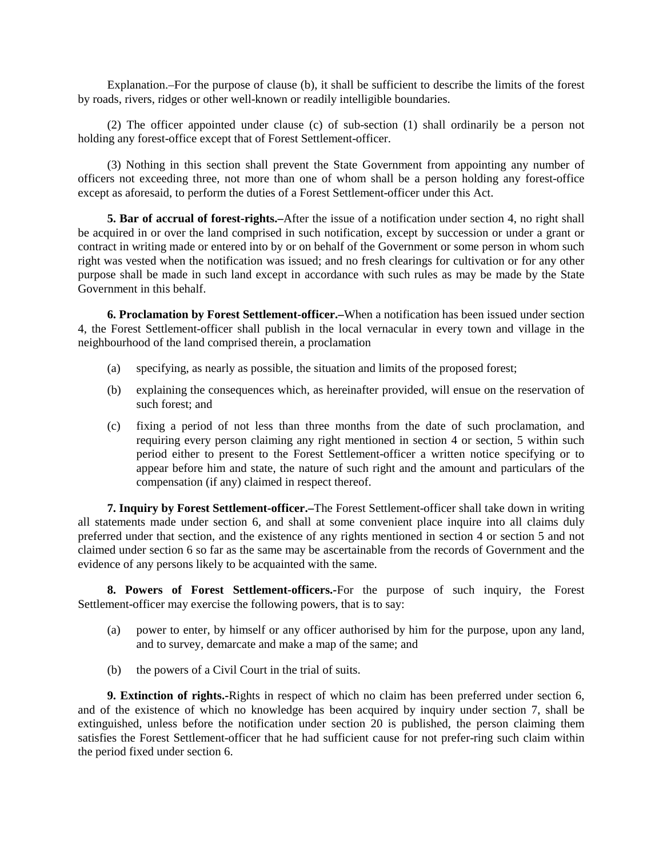Explanation.–For the purpose of clause (b), it shall be sufficient to describe the limits of the forest by roads, rivers, ridges or other well-known or readily intelligible boundaries.

(2) The officer appointed under clause (c) of sub-section (1) shall ordinarily be a person not holding any forest-office except that of Forest Settlement-officer.

(3) Nothing in this section shall prevent the State Government from appointing any number of officers not exceeding three, not more than one of whom shall be a person holding any forest-office except as aforesaid, to perform the duties of a Forest Settlement-officer under this Act.

**5. Bar of accrual of forest-rights.–**After the issue of a notification under section 4, no right shall be acquired in or over the land comprised in such notification, except by succession or under a grant or contract in writing made or entered into by or on behalf of the Government or some person in whom such right was vested when the notification was issued; and no fresh clearings for cultivation or for any other purpose shall be made in such land except in accordance with such rules as may be made by the State Government in this behalf.

**6. Proclamation by Forest Settlement-officer.–**When a notification has been issued under section 4, the Forest Settlement-officer shall publish in the local vernacular in every town and village in the neighbourhood of the land comprised therein, a proclamation

- (a) specifying, as nearly as possible, the situation and limits of the proposed forest;
- (b) explaining the consequences which, as hereinafter provided, will ensue on the reservation of such forest; and
- (c) fixing a period of not less than three months from the date of such proclamation, and requiring every person claiming any right mentioned in section 4 or section, 5 within such period either to present to the Forest Settlement-officer a written notice specifying or to appear before him and state, the nature of such right and the amount and particulars of the compensation (if any) claimed in respect thereof.

**7. Inquiry by Forest Settlement-officer.–**The Forest Settlement-officer shall take down in writing all statements made under section 6, and shall at some convenient place inquire into all claims duly preferred under that section, and the existence of any rights mentioned in section 4 or section 5 and not claimed under section 6 so far as the same may be ascertainable from the records of Government and the evidence of any persons likely to be acquainted with the same.

**8. Powers of Forest Settlement-officers.-**For the purpose of such inquiry, the Forest Settlement-officer may exercise the following powers, that is to say:

- (a) power to enter, by himself or any officer authorised by him for the purpose, upon any land, and to survey, demarcate and make a map of the same; and
- (b) the powers of a Civil Court in the trial of suits.

**9. Extinction of rights.-**Rights in respect of which no claim has been preferred under section 6, and of the existence of which no knowledge has been acquired by inquiry under section 7, shall be extinguished, unless before the notification under section 20 is published, the person claiming them satisfies the Forest Settlement-officer that he had sufficient cause for not prefer-ring such claim within the period fixed under section 6.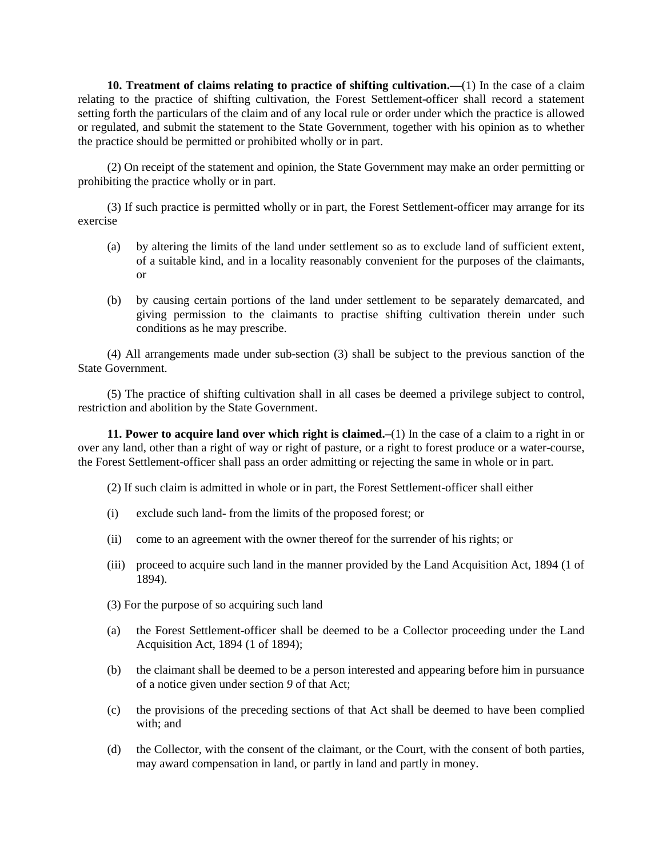**10. Treatment of claims relating to practice of shifting cultivation.—**(1) In the case of a claim relating to the practice of shifting cultivation, the Forest Settlement-officer shall record a statement setting forth the particulars of the claim and of any local rule or order under which the practice is allowed or regulated, and submit the statement to the State Government, together with his opinion as to whether the practice should be permitted or prohibited wholly or in part.

(2) On receipt of the statement and opinion, the State Government may make an order permitting or prohibiting the practice wholly or in part.

(3) If such practice is permitted wholly or in part, the Forest Settlement-officer may arrange for its exercise

- (a) by altering the limits of the land under settlement so as to exclude land of sufficient extent, of a suitable kind, and in a locality reasonably convenient for the purposes of the claimants, or
- (b) by causing certain portions of the land under settlement to be separately demarcated, and giving permission to the claimants to practise shifting cultivation therein under such conditions as he may prescribe.

(4) All arrangements made under sub-section (3) shall be subject to the previous sanction of the State Government.

(5) The practice of shifting cultivation shall in all cases be deemed a privilege subject to control, restriction and abolition by the State Government.

**11. Power to acquire land over which right is claimed.–**(1) In the case of a claim to a right in or over any land, other than a right of way or right of pasture, or a right to forest produce or a water-course, the Forest Settlement-officer shall pass an order admitting or rejecting the same in whole or in part.

(2) If such claim is admitted in whole or in part, the Forest Settlement-officer shall either

- (i) exclude such land- from the limits of the proposed forest; or
- (ii) come to an agreement with the owner thereof for the surrender of his rights; or
- (iii) proceed to acquire such land in the manner provided by the Land Acquisition Act, 1894 (1 of 1894).
- (3) For the purpose of so acquiring such land
- (a) the Forest Settlement-officer shall be deemed to be a Collector proceeding under the Land Acquisition Act, 1894 (1 of 1894);
- (b) the claimant shall be deemed to be a person interested and appearing before him in pursuance of a notice given under section *9* of that Act;
- (c) the provisions of the preceding sections of that Act shall be deemed to have been complied with; and
- (d) the Collector, with the consent of the claimant, or the Court, with the consent of both parties, may award compensation in land, or partly in land and partly in money.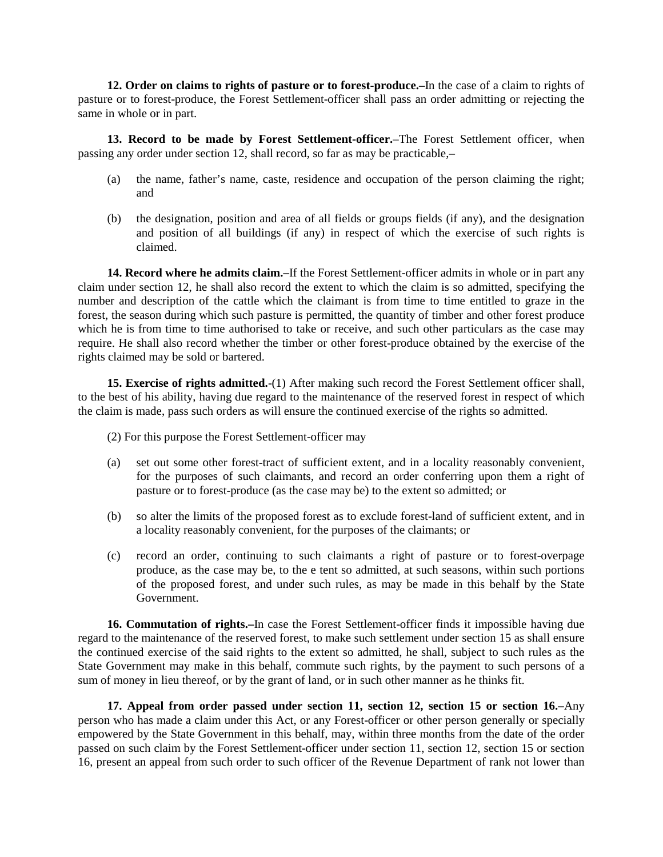**12. Order on claims to rights of pasture or to forest-produce.–**In the case of a claim to rights of pasture or to forest-produce, the Forest Settlement-officer shall pass an order admitting or rejecting the same in whole or in part.

**13. Record to be made by Forest Settlement-officer.**–The Forest Settlement officer, when passing any order under section 12, shall record, so far as may be practicable,–

- (a) the name, father's name, caste, residence and occupation of the person claiming the right; and
- (b) the designation, position and area of all fields or groups fields (if any), and the designation and position of all buildings (if any) in respect of which the exercise of such rights is claimed.

**14. Record where he admits claim.–**If the Forest Settlement-officer admits in whole or in part any claim under section 12, he shall also record the extent to which the claim is so admitted, specifying the number and description of the cattle which the claimant is from time to time entitled to graze in the forest, the season during which such pasture is permitted, the quantity of timber and other forest produce which he is from time to time authorised to take or receive, and such other particulars as the case may require. He shall also record whether the timber or other forest-produce obtained by the exercise of the rights claimed may be sold or bartered.

**15. Exercise of rights admitted.**-(1) After making such record the Forest Settlement officer shall, to the best of his ability, having due regard to the maintenance of the reserved forest in respect of which the claim is made, pass such orders as will ensure the continued exercise of the rights so admitted.

(2) For this purpose the Forest Settlement-officer may

- (a) set out some other forest-tract of sufficient extent, and in a locality reasonably convenient, for the purposes of such claimants, and record an order conferring upon them a right of pasture or to forest-produce (as the case may be) to the extent so admitted; or
- (b) so alter the limits of the proposed forest as to exclude forest-land of sufficient extent, and in a locality reasonably convenient, for the purposes of the claimants; or
- (c) record an order, continuing to such claimants a right of pasture or to forest-overpage produce, as the case may be, to the e tent so admitted, at such seasons, within such portions of the proposed forest, and under such rules, as may be made in this behalf by the State Government.

**16. Commutation of rights.–**In case the Forest Settlement-officer finds it impossible having due regard to the maintenance of the reserved forest, to make such settlement under section 15 as shall ensure the continued exercise of the said rights to the extent so admitted, he shall, subject to such rules as the State Government may make in this behalf, commute such rights, by the payment to such persons of a sum of money in lieu thereof, or by the grant of land, or in such other manner as he thinks fit.

**17. Appeal from order passed under section 11, section 12, section 15 or section 16.–**Any person who has made a claim under this Act, or any Forest-officer or other person generally or specially empowered by the State Government in this behalf, may, within three months from the date of the order passed on such claim by the Forest Settlement-officer under section 11, section 12, section 15 or section 16, present an appeal from such order to such officer of the Revenue Department of rank not lower than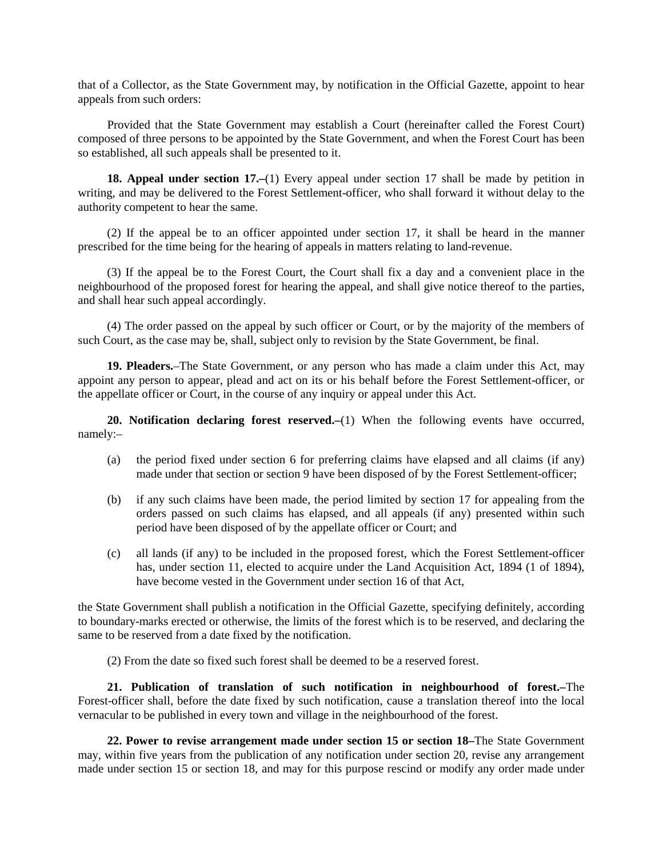that of a Collector, as the State Government may, by notification in the Official Gazette, appoint to hear appeals from such orders:

Provided that the State Government may establish a Court (hereinafter called the Forest Court) composed of three persons to be appointed by the State Government, and when the Forest Court has been so established, all such appeals shall be presented to it.

**18. Appeal under section 17.–**(1) Every appeal under section 17 shall be made by petition in writing, and may be delivered to the Forest Settlement-officer, who shall forward it without delay to the authority competent to hear the same.

(2) If the appeal be to an officer appointed under section 17, it shall be heard in the manner prescribed for the time being for the hearing of appeals in matters relating to land-revenue.

(3) If the appeal be to the Forest Court, the Court shall fix a day and a convenient place in the neighbourhood of the proposed forest for hearing the appeal, and shall give notice thereof to the parties, and shall hear such appeal accordingly.

(4) The order passed on the appeal by such officer or Court, or by the majority of the members of such Court, as the case may be, shall, subject only to revision by the State Government, be final.

**19. Pleaders.**–The State Government, or any person who has made a claim under this Act, may appoint any person to appear, plead and act on its or his behalf before the Forest Settlement-officer, or the appellate officer or Court, in the course of any inquiry or appeal under this Act.

**20. Notification declaring forest reserved.–**(1) When the following events have occurred, namely:–

- (a) the period fixed under section 6 for preferring claims have elapsed and all claims (if any) made under that section or section 9 have been disposed of by the Forest Settlement-officer;
- (b) if any such claims have been made, the period limited by section 17 for appealing from the orders passed on such claims has elapsed, and all appeals (if any) presented within such period have been disposed of by the appellate officer or Court; and
- (c) all lands (if any) to be included in the proposed forest, which the Forest Settlement-officer has, under section 11, elected to acquire under the Land Acquisition Act, 1894 (1 of 1894), have become vested in the Government under section 16 of that Act,

the State Government shall publish a notification in the Official Gazette, specifying definitely, according to boundary-marks erected or otherwise, the limits of the forest which is to be reserved, and declaring the same to be reserved from a date fixed by the notification.

(2) From the date so fixed such forest shall be deemed to be a reserved forest.

**21. Publication of translation of such notification in neighbourhood of forest.–**The Forest-officer shall, before the date fixed by such notification, cause a translation thereof into the local vernacular to be published in every town and village in the neighbourhood of the forest.

**22. Power to revise arrangement made under section 15 or section 18–**The State Government may, within five years from the publication of any notification under section 20, revise any arrangement made under section 15 or section 18, and may for this purpose rescind or modify any order made under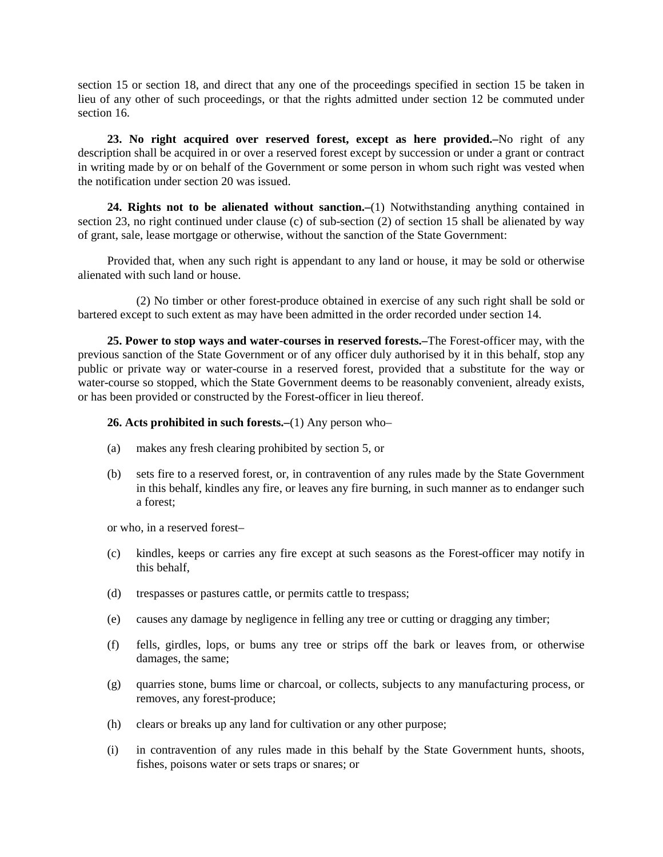section 15 or section 18, and direct that any one of the proceedings specified in section 15 be taken in lieu of any other of such proceedings, or that the rights admitted under section 12 be commuted under section 16

**23. No right acquired over reserved forest, except as here provided.–**No right of any description shall be acquired in or over a reserved forest except by succession or under a grant or contract in writing made by or on behalf of the Government or some person in whom such right was vested when the notification under section 20 was issued.

**24. Rights not to be alienated without sanction.–**(1) Notwithstanding anything contained in section 23, no right continued under clause (c) of sub-section (2) of section 15 shall be alienated by way of grant, sale, lease mortgage or otherwise, without the sanction of the State Government:

Provided that, when any such right is appendant to any land or house, it may be sold or otherwise alienated with such land or house.

(2) No timber or other forest-produce obtained in exercise of any such right shall be sold or bartered except to such extent as may have been admitted in the order recorded under section 14.

**25. Power to stop ways and water-courses in reserved forests.–**The Forest-officer may, with the previous sanction of the State Government or of any officer duly authorised by it in this behalf, stop any public or private way or water-course in a reserved forest, provided that a substitute for the way or water-course so stopped, which the State Government deems to be reasonably convenient, already exists, or has been provided or constructed by the Forest-officer in lieu thereof.

#### **26. Acts prohibited in such forests.–**(1) Any person who–

- (a) makes any fresh clearing prohibited by section 5, or
- (b) sets fire to a reserved forest, or, in contravention of any rules made by the State Government in this behalf, kindles any fire, or leaves any fire burning, in such manner as to endanger such a forest;

or who, in a reserved forest–

- (c) kindles, keeps or carries any fire except at such seasons as the Forest-officer may notify in this behalf,
- (d) trespasses or pastures cattle, or permits cattle to trespass;
- (e) causes any damage by negligence in felling any tree or cutting or dragging any timber;
- (f) fells, girdles, lops, or bums any tree or strips off the bark or leaves from, or otherwise damages, the same;
- (g) quarries stone, bums lime or charcoal, or collects, subjects to any manufacturing process, or removes, any forest-produce;
- (h) clears or breaks up any land for cultivation or any other purpose;
- (i) in contravention of any rules made in this behalf by the State Government hunts, shoots, fishes, poisons water or sets traps or snares; or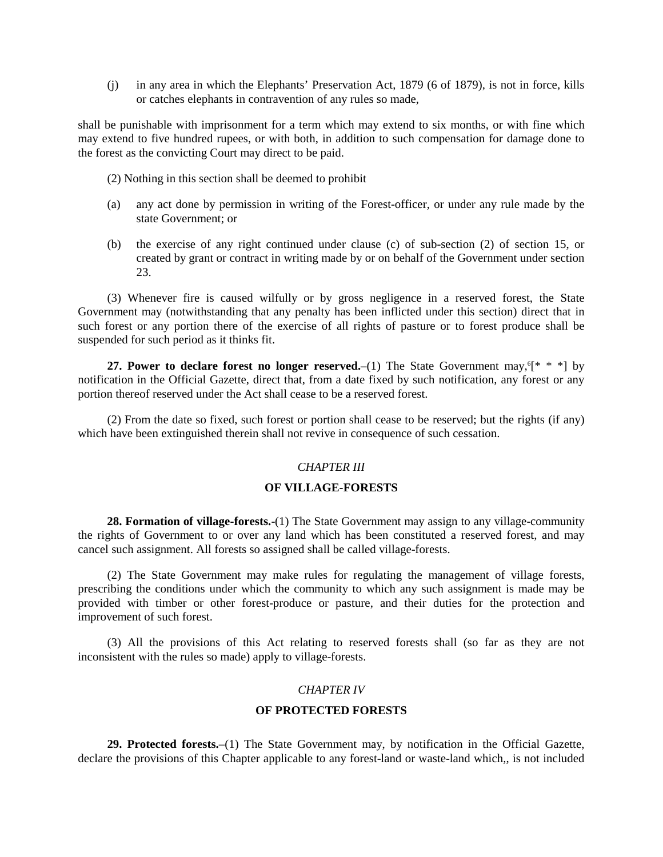(j) in any area in which the Elephants' Preservation Act, 1879 (6 of 1879), is not in force, kills or catches elephants in contravention of any rules so made,

shall be punishable with imprisonment for a term which may extend to six months, or with fine which may extend to five hundred rupees, or with both, in addition to such compensation for damage done to the forest as the convicting Court may direct to be paid.

(2) Nothing in this section shall be deemed to prohibit

- (a) any act done by permission in writing of the Forest-officer, or under any rule made by the state Government; or
- (b) the exercise of any right continued under clause (c) of sub-section (2) of section 15, or created by grant or contract in writing made by or on behalf of the Government under section 23.

(3) Whenever fire is caused wilfully or by gross negligence in a reserved forest, the State Government may (notwithstanding that any penalty has been inflicted under this section) direct that in such forest or any portion there of the exercise of all rights of pasture or to forest produce shall be suspended for such period as it thinks fit.

**27. Power to declare forest no longer reserved.** (1) The State Government may, <sup>6</sup><sup>\*</sup> \* <sup>\*</sup> by notification in the Official Gazette, direct that, from a date fixed by such notification, any forest or any portion thereof reserved under the Act shall cease to be a reserved forest.

(2) From the date so fixed, such forest or portion shall cease to be reserved; but the rights (if any) which have been extinguished therein shall not revive in consequence of such cessation.

#### *CHAPTER III*

## **OF VILLAGE-FORESTS**

**28. Formation of village-forests.**-(1) The State Government may assign to any village-community the rights of Government to or over any land which has been constituted a reserved forest, and may cancel such assignment. All forests so assigned shall be called village-forests.

(2) The State Government may make rules for regulating the management of village forests, prescribing the conditions under which the community to which any such assignment is made may be provided with timber or other forest-produce or pasture, and their duties for the protection and improvement of such forest.

(3) All the provisions of this Act relating to reserved forests shall (so far as they are not inconsistent with the rules so made) apply to village-forests.

## *CHAPTER IV*

#### **OF PROTECTED FORESTS**

**29. Protected forests.**–(1) The State Government may, by notification in the Official Gazette, declare the provisions of this Chapter applicable to any forest-land or waste-land which,, is not included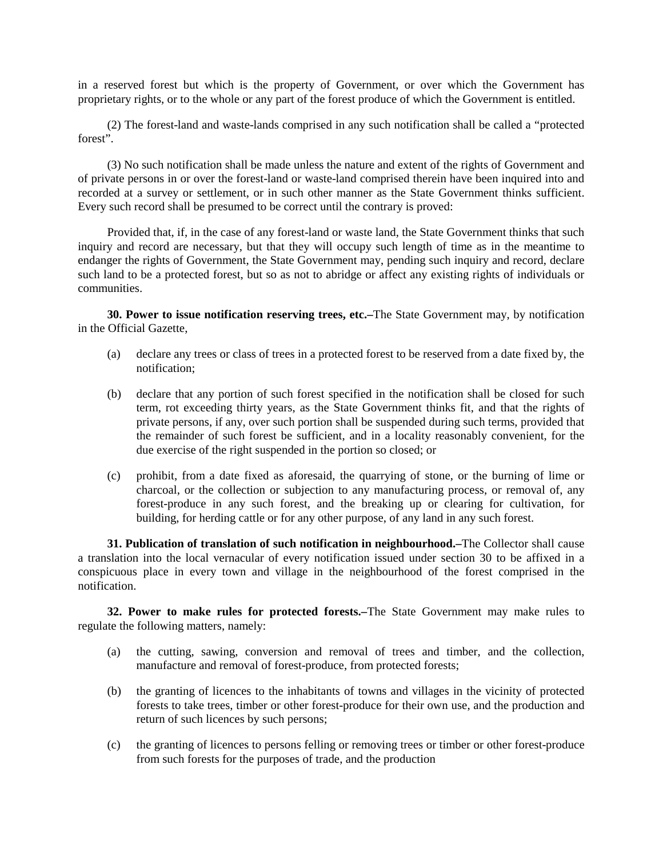in a reserved forest but which is the property of Government, or over which the Government has proprietary rights, or to the whole or any part of the forest produce of which the Government is entitled.

(2) The forest-land and waste-lands comprised in any such notification shall be called a "protected forest".

(3) No such notification shall be made unless the nature and extent of the rights of Government and of private persons in or over the forest-land or waste-land comprised therein have been inquired into and recorded at a survey or settlement, or in such other manner as the State Government thinks sufficient. Every such record shall be presumed to be correct until the contrary is proved:

Provided that, if, in the case of any forest-land or waste land, the State Government thinks that such inquiry and record are necessary, but that they will occupy such length of time as in the meantime to endanger the rights of Government, the State Government may, pending such inquiry and record, declare such land to be a protected forest, but so as not to abridge or affect any existing rights of individuals or communities.

**30. Power to issue notification reserving trees, etc.–**The State Government may, by notification in the Official Gazette,

- (a) declare any trees or class of trees in a protected forest to be reserved from a date fixed by, the notification;
- (b) declare that any portion of such forest specified in the notification shall be closed for such term, rot exceeding thirty years, as the State Government thinks fit, and that the rights of private persons, if any, over such portion shall be suspended during such terms, provided that the remainder of such forest be sufficient, and in a locality reasonably convenient, for the due exercise of the right suspended in the portion so closed; or
- (c) prohibit, from a date fixed as aforesaid, the quarrying of stone, or the burning of lime or charcoal, or the collection or subjection to any manufacturing process, or removal of, any forest-produce in any such forest, and the breaking up or clearing for cultivation, for building, for herding cattle or for any other purpose, of any land in any such forest.

**31. Publication of translation of such notification in neighbourhood.–**The Collector shall cause a translation into the local vernacular of every notification issued under section 30 to be affixed in a conspicuous place in every town and village in the neighbourhood of the forest comprised in the notification.

**32. Power to make rules for protected forests.–**The State Government may make rules to regulate the following matters, namely:

- (a) the cutting, sawing, conversion and removal of trees and timber, and the collection, manufacture and removal of forest-produce, from protected forests;
- (b) the granting of licences to the inhabitants of towns and villages in the vicinity of protected forests to take trees, timber or other forest-produce for their own use, and the production and return of such licences by such persons;
- (c) the granting of licences to persons felling or removing trees or timber or other forest-produce from such forests for the purposes of trade, and the production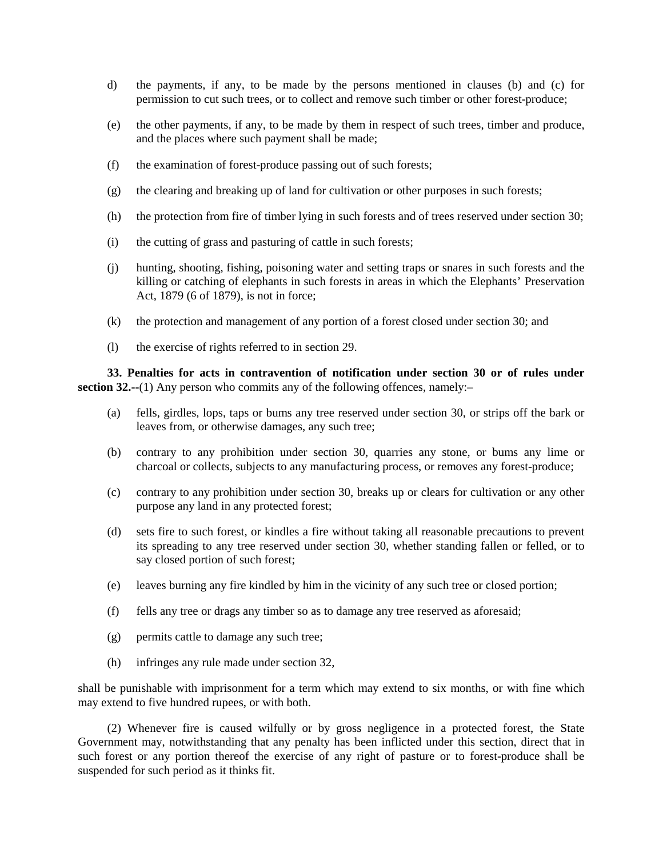- d) the payments, if any, to be made by the persons mentioned in clauses (b) and (c) for permission to cut such trees, or to collect and remove such timber or other forest-produce;
- (e) the other payments, if any, to be made by them in respect of such trees, timber and produce, and the places where such payment shall be made;
- (f) the examination of forest-produce passing out of such forests;
- (g) the clearing and breaking up of land for cultivation or other purposes in such forests;
- (h) the protection from fire of timber lying in such forests and of trees reserved under section 30;
- (i) the cutting of grass and pasturing of cattle in such forests;
- (j) hunting, shooting, fishing, poisoning water and setting traps or snares in such forests and the killing or catching of elephants in such forests in areas in which the Elephants' Preservation Act, 1879 (6 of 1879), is not in force;
- (k) the protection and management of any portion of a forest closed under section 30; and
- (l) the exercise of rights referred to in section 29.

**33. Penalties for acts in contravention of notification under section 30 or of rules under section 32.--**(1) Any person who commits any of the following offences, namely:-

- (a) fells, girdles, lops, taps or bums any tree reserved under section 30, or strips off the bark or leaves from, or otherwise damages, any such tree;
- (b) contrary to any prohibition under section 30, quarries any stone, or bums any lime or charcoal or collects, subjects to any manufacturing process, or removes any forest-produce;
- (c) contrary to any prohibition under section 30, breaks up or clears for cultivation or any other purpose any land in any protected forest;
- (d) sets fire to such forest, or kindles a fire without taking all reasonable precautions to prevent its spreading to any tree reserved under section 30, whether standing fallen or felled, or to say closed portion of such forest;
- (e) leaves burning any fire kindled by him in the vicinity of any such tree or closed portion;
- (f) fells any tree or drags any timber so as to damage any tree reserved as aforesaid;
- (g) permits cattle to damage any such tree;
- (h) infringes any rule made under section 32,

shall be punishable with imprisonment for a term which may extend to six months, or with fine which may extend to five hundred rupees, or with both.

(2) Whenever fire is caused wilfully or by gross negligence in a protected forest, the State Government may, notwithstanding that any penalty has been inflicted under this section, direct that in such forest or any portion thereof the exercise of any right of pasture or to forest-produce shall be suspended for such period as it thinks fit.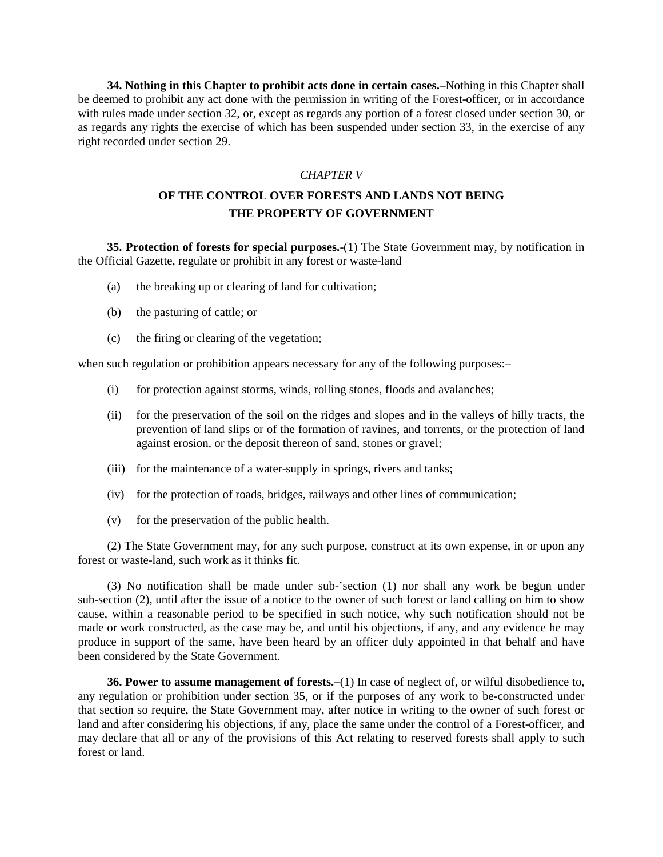**34. Nothing in this Chapter to prohibit acts done in certain cases.**–Nothing in this Chapter shall be deemed to prohibit any act done with the permission in writing of the Forest-officer, or in accordance with rules made under section 32, or, except as regards any portion of a forest closed under section 30, or as regards any rights the exercise of which has been suspended under section 33, in the exercise of any right recorded under section 29.

## *CHAPTER V*

# **OF THE CONTROL OVER FORESTS AND LANDS NOT BEING THE PROPERTY OF GOVERNMENT**

**35. Protection of forests for special purposes.**-(1) The State Government may, by notification in the Official Gazette, regulate or prohibit in any forest or waste-land

- (a) the breaking up or clearing of land for cultivation;
- (b) the pasturing of cattle; or
- (c) the firing or clearing of the vegetation;

when such regulation or prohibition appears necessary for any of the following purposes:-

- (i) for protection against storms, winds, rolling stones, floods and avalanches;
- (ii) for the preservation of the soil on the ridges and slopes and in the valleys of hilly tracts, the prevention of land slips or of the formation of ravines, and torrents, or the protection of land against erosion, or the deposit thereon of sand, stones or gravel;
- (iii) for the maintenance of a water-supply in springs, rivers and tanks;
- (iv) for the protection of roads, bridges, railways and other lines of communication;
- (v) for the preservation of the public health.

(2) The State Government may, for any such purpose, construct at its own expense, in or upon any forest or waste-land, such work as it thinks fit.

(3) No notification shall be made under sub-'section (1) nor shall any work be begun under sub-section (2), until after the issue of a notice to the owner of such forest or land calling on him to show cause, within a reasonable period to be specified in such notice, why such notification should not be made or work constructed, as the case may be, and until his objections, if any, and any evidence he may produce in support of the same, have been heard by an officer duly appointed in that behalf and have been considered by the State Government.

**36. Power to assume management of forests.–**(1) In case of neglect of, or wilful disobedience to, any regulation or prohibition under section 35, or if the purposes of any work to be-constructed under that section so require, the State Government may, after notice in writing to the owner of such forest or land and after considering his objections, if any, place the same under the control of a Forest-officer, and may declare that all or any of the provisions of this Act relating to reserved forests shall apply to such forest or land.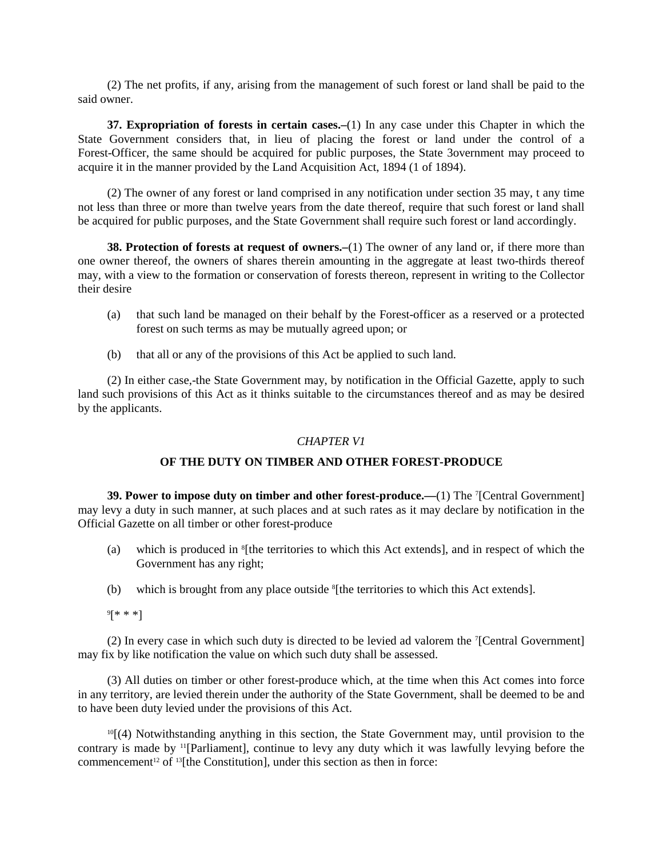(2) The net profits, if any, arising from the management of such forest or land shall be paid to the said owner.

**37. Expropriation of forests in certain cases.–**(1) In any case under this Chapter in which the State Government considers that, in lieu of placing the forest or land under the control of a Forest-Officer, the same should be acquired for public purposes, the State 3overnment may proceed to acquire it in the manner provided by the Land Acquisition Act, 1894 (1 of 1894).

(2) The owner of any forest or land comprised in any notification under section 35 may, t any time not less than three or more than twelve years from the date thereof, require that such forest or land shall be acquired for public purposes, and the State Government shall require such forest or land accordingly.

**38. Protection of forests at request of owners.**—(1) The owner of any land or, if there more than one owner thereof, the owners of shares therein amounting in the aggregate at least two-thirds thereof may, with a view to the formation or conservation of forests thereon, represent in writing to the Collector their desire

- (a) that such land be managed on their behalf by the Forest-officer as a reserved or a protected forest on such terms as may be mutually agreed upon; or
- (b) that all or any of the provisions of this Act be applied to such land.

(2) In either case,-the State Government may, by notification in the Official Gazette, apply to such land such provisions of this Act as it thinks suitable to the circumstances thereof and as may be desired by the applicants.

#### *CHAPTER V1*

### **OF THE DUTY ON TIMBER AND OTHER FOREST-PRODUCE**

**39. Power to impose duty on timber and other forest-produce.—(1) The <sup>7</sup>[Central Government]** may levy a duty in such manner, at such places and at such rates as it may declare by notification in the Official Gazette on all timber or other forest-produce

- (a) which is produced in 8 [the territories to which this Act extends], and in respect of which the Government has any right;
- (b) which is brought from any place outside <sup>8</sup>[the territories to which this Act extends].
- 9 [\* \* \*]

(2) In every case in which such duty is directed to be levied ad valorem the 7 [Central Government] may fix by like notification the value on which such duty shall be assessed.

(3) All duties on timber or other forest-produce which, at the time when this Act comes into force in any territory, are levied therein under the authority of the State Government, shall be deemed to be and to have been duty levied under the provisions of this Act.

 $10$ [(4) Notwithstanding anything in this section, the State Government may, until provision to the contrary is made by 11[Parliament], continue to levy any duty which it was lawfully levying before the commencement<sup>12</sup> of  $13$ [the Constitution], under this section as then in force: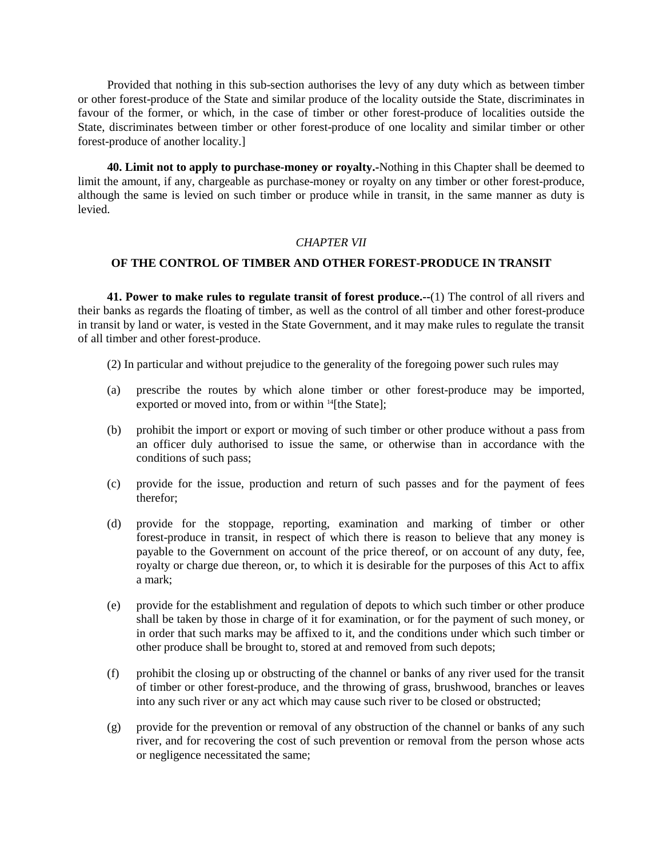Provided that nothing in this sub-section authorises the levy of any duty which as between timber or other forest-produce of the State and similar produce of the locality outside the State, discriminates in favour of the former, or which, in the case of timber or other forest-produce of localities outside the State, discriminates between timber or other forest-produce of one locality and similar timber or other forest-produce of another locality.]

**40. Limit not to apply to purchase-money or royalty.-**Nothing in this Chapter shall be deemed to limit the amount, if any, chargeable as purchase-money or royalty on any timber or other forest-produce, although the same is levied on such timber or produce while in transit, in the same manner as duty is levied.

### *CHAPTER VII*

### **OF THE CONTROL OF TIMBER AND OTHER FOREST-PRODUCE IN TRANSIT**

**41. Power to make rules to regulate transit of forest produce.--**(1) The control of all rivers and their banks as regards the floating of timber, as well as the control of all timber and other forest-produce in transit by land or water, is vested in the State Government, and it may make rules to regulate the transit of all timber and other forest-produce.

- (2) In particular and without prejudice to the generality of the foregoing power such rules may
- (a) prescribe the routes by which alone timber or other forest-produce may be imported, exported or moved into, from or within <sup>14</sup>[the State];
- (b) prohibit the import or export or moving of such timber or other produce without a pass from an officer duly authorised to issue the same, or otherwise than in accordance with the conditions of such pass;
- (c) provide for the issue, production and return of such passes and for the payment of fees therefor;
- (d) provide for the stoppage, reporting, examination and marking of timber or other forest-produce in transit, in respect of which there is reason to believe that any money is payable to the Government on account of the price thereof, or on account of any duty, fee, royalty or charge due thereon, or, to which it is desirable for the purposes of this Act to affix a mark;
- (e) provide for the establishment and regulation of depots to which such timber or other produce shall be taken by those in charge of it for examination, or for the payment of such money, or in order that such marks may be affixed to it, and the conditions under which such timber or other produce shall be brought to, stored at and removed from such depots;
- (f) prohibit the closing up or obstructing of the channel or banks of any river used for the transit of timber or other forest-produce, and the throwing of grass, brushwood, branches or leaves into any such river or any act which may cause such river to be closed or obstructed;
- (g) provide for the prevention or removal of any obstruction of the channel or banks of any such river, and for recovering the cost of such prevention or removal from the person whose acts or negligence necessitated the same;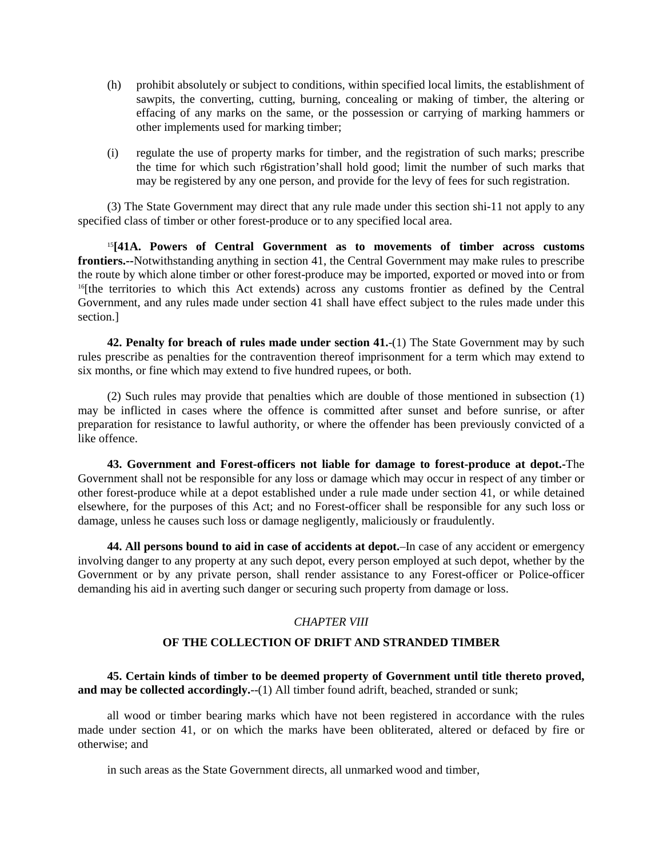- (h) prohibit absolutely or subject to conditions, within specified local limits, the establishment of sawpits, the converting, cutting, burning, concealing or making of timber, the altering or effacing of any marks on the same, or the possession or carrying of marking hammers or other implements used for marking timber;
- (i) regulate the use of property marks for timber, and the registration of such marks; prescribe the time for which such r6gistration'shall hold good; limit the number of such marks that may be registered by any one person, and provide for the levy of fees for such registration.

(3) The State Government may direct that any rule made under this section shi-11 not apply to any specified class of timber or other forest-produce or to any specified local area.

<sup>15</sup>**[41A. Powers of Central Government as to movements of timber across customs frontiers.--**Notwithstanding anything in section 41, the Central Government may make rules to prescribe the route by which alone timber or other forest-produce may be imported, exported or moved into or from <sup>16</sup>[the territories to which this Act extends) across any customs frontier as defined by the Central Government, and any rules made under section 41 shall have effect subject to the rules made under this section.]

**42. Penalty for breach of rules made under section 41.**-(1) The State Government may by such rules prescribe as penalties for the contravention thereof imprisonment for a term which may extend to six months, or fine which may extend to five hundred rupees, or both.

(2) Such rules may provide that penalties which are double of those mentioned in subsection (1) may be inflicted in cases where the offence is committed after sunset and before sunrise, or after preparation for resistance to lawful authority, or where the offender has been previously convicted of a like offence.

**43. Government and Forest-officers not liable for damage to forest-produce at depot.-**The Government shall not be responsible for any loss or damage which may occur in respect of any timber or other forest-produce while at a depot established under a rule made under section 41, or while detained elsewhere, for the purposes of this Act; and no Forest-officer shall be responsible for any such loss or damage, unless he causes such loss or damage negligently, maliciously or fraudulently.

**44. All persons bound to aid in case of accidents at depot.**–In case of any accident or emergency involving danger to any property at any such depot, every person employed at such depot, whether by the Government or by any private person, shall render assistance to any Forest-officer or Police-officer demanding his aid in averting such danger or securing such property from damage or loss.

## *CHAPTER VIII*

## **OF THE COLLECTION OF DRIFT AND STRANDED TIMBER**

**45. Certain kinds of timber to be deemed property of Government until title thereto proved,** and may be collected accordingly.--(1) All timber found adrift, beached, stranded or sunk;

all wood or timber bearing marks which have not been registered in accordance with the rules made under section 41, or on which the marks have been obliterated, altered or defaced by fire or otherwise; and

in such areas as the State Government directs, all unmarked wood and timber,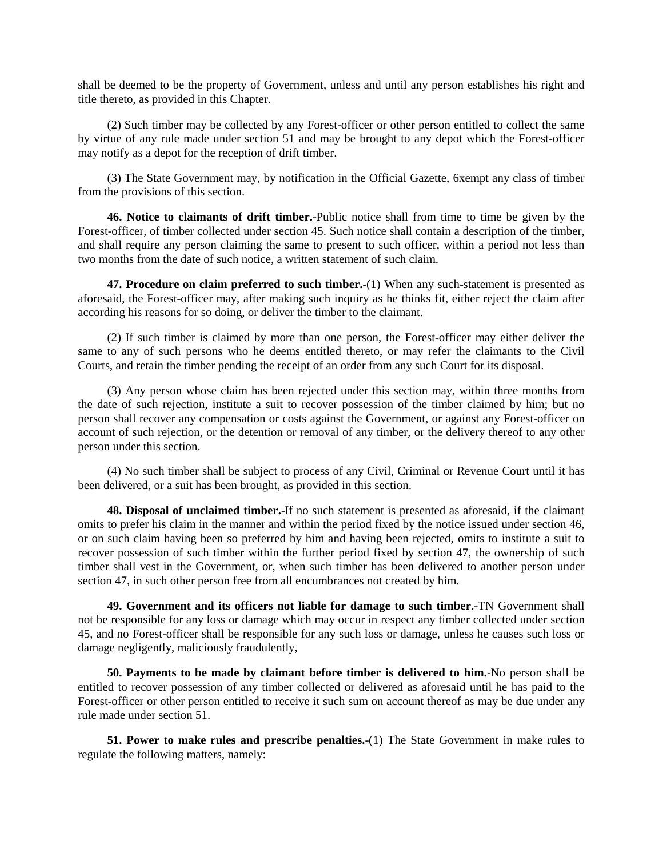shall be deemed to be the property of Government, unless and until any person establishes his right and title thereto, as provided in this Chapter.

(2) Such timber may be collected by any Forest-officer or other person entitled to collect the same by virtue of any rule made under section 51 and may be brought to any depot which the Forest-officer may notify as a depot for the reception of drift timber.

(3) The State Government may, by notification in the Official Gazette, 6xempt any class of timber from the provisions of this section.

**46. Notice to claimants of drift timber.**-Public notice shall from time to time be given by the Forest-officer, of timber collected under section 45. Such notice shall contain a description of the timber, and shall require any person claiming the same to present to such officer, within a period not less than two months from the date of such notice, a written statement of such claim.

**47. Procedure on claim preferred to such timber.**-(1) When any such-statement is presented as aforesaid, the Forest-officer may, after making such inquiry as he thinks fit, either reject the claim after according his reasons for so doing, or deliver the timber to the claimant.

(2) If such timber is claimed by more than one person, the Forest-officer may either deliver the same to any of such persons who he deems entitled thereto, or may refer the claimants to the Civil Courts, and retain the timber pending the receipt of an order from any such Court for its disposal.

(3) Any person whose claim has been rejected under this section may, within three months from the date of such rejection, institute a suit to recover possession of the timber claimed by him; but no person shall recover any compensation or costs against the Government, or against any Forest-officer on account of such rejection, or the detention or removal of any timber, or the delivery thereof to any other person under this section.

(4) No such timber shall be subject to process of any Civil, Criminal or Revenue Court until it has been delivered, or a suit has been brought, as provided in this section.

**48. Disposal of unclaimed timber.**-If no such statement is presented as aforesaid, if the claimant omits to prefer his claim in the manner and within the period fixed by the notice issued under section 46, or on such claim having been so preferred by him and having been rejected, omits to institute a suit to recover possession of such timber within the further period fixed by section 47, the ownership of such timber shall vest in the Government, or, when such timber has been delivered to another person under section 47, in such other person free from all encumbrances not created by him.

**49. Government and its officers not liable for damage to such timber.**-TN Government shall not be responsible for any loss or damage which may occur in respect any timber collected under section 45, and no Forest-officer shall be responsible for any such loss or damage, unless he causes such loss or damage negligently, maliciously fraudulently,

**50. Payments to be made by claimant before timber is delivered to him.**-No person shall be entitled to recover possession of any timber collected or delivered as aforesaid until he has paid to the Forest-officer or other person entitled to receive it such sum on account thereof as may be due under any rule made under section 51.

**51. Power to make rules and prescribe penalties.**-(1) The State Government in make rules to regulate the following matters, namely: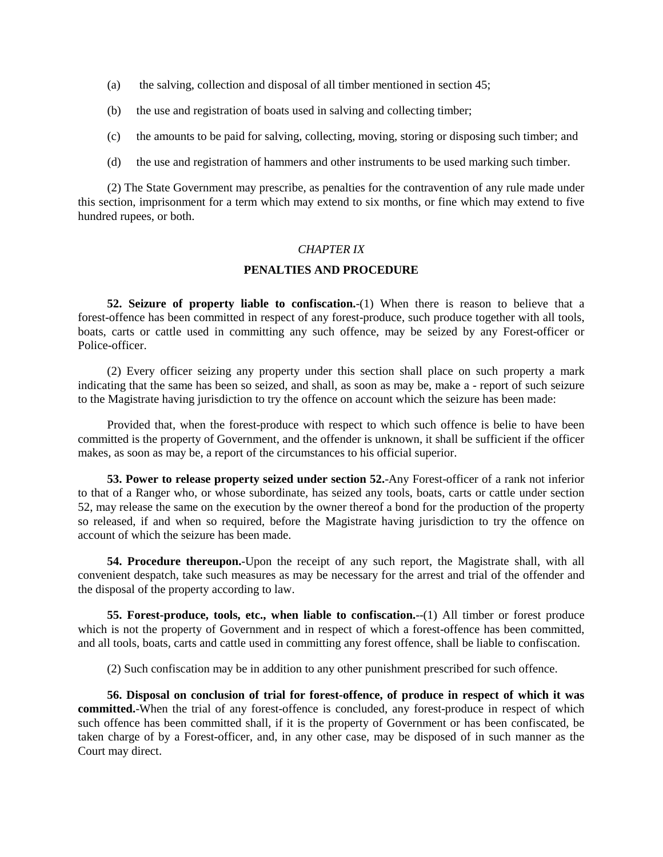- (a) the salving, collection and disposal of all timber mentioned in section 45;
- (b) the use and registration of boats used in salving and collecting timber;
- (c) the amounts to be paid for salving, collecting, moving, storing or disposing such timber; and
- (d) the use and registration of hammers and other instruments to be used marking such timber.

(2) The State Government may prescribe, as penalties for the contravention of any rule made under this section, imprisonment for a term which may extend to six months, or fine which may extend to five hundred rupees, or both.

### *CHAPTER IX*

### **PENALTIES AND PROCEDURE**

**52. Seizure of property liable to confiscation.**-(1) When there is reason to believe that a forest-offence has been committed in respect of any forest-produce, such produce together with all tools, boats, carts or cattle used in committing any such offence, may be seized by any Forest-officer or Police-officer.

(2) Every officer seizing any property under this section shall place on such property a mark indicating that the same has been so seized, and shall, as soon as may be, make a - report of such seizure to the Magistrate having jurisdiction to try the offence on account which the seizure has been made:

Provided that, when the forest-produce with respect to which such offence is belie to have been committed is the property of Government, and the offender is unknown, it shall be sufficient if the officer makes, as soon as may be, a report of the circumstances to his official superior.

**53. Power to release property seized under section 52.**-Any Forest-officer of a rank not inferior to that of a Ranger who, or whose subordinate, has seized any tools, boats, carts or cattle under section 52, may release the same on the execution by the owner thereof a bond for the production of the property so released, if and when so required, before the Magistrate having jurisdiction to try the offence on account of which the seizure has been made.

**54. Procedure thereupon.**-Upon the receipt of any such report, the Magistrate shall, with all convenient despatch, take such measures as may be necessary for the arrest and trial of the offender and the disposal of the property according to law.

**55. Forest-produce, tools, etc., when liable to confiscation.**-(1) All timber or forest produce which is not the property of Government and in respect of which a forest-offence has been committed, and all tools, boats, carts and cattle used in committing any forest offence, shall be liable to confiscation.

(2) Such confiscation may be in addition to any other punishment prescribed for such offence.

**56. Disposal on conclusion of trial for forest-offence, of produce in respect of which it was committed.**-When the trial of any forest-offence is concluded, any forest-produce in respect of which such offence has been committed shall, if it is the property of Government or has been confiscated, be taken charge of by a Forest-officer, and, in any other case, may be disposed of in such manner as the Court may direct.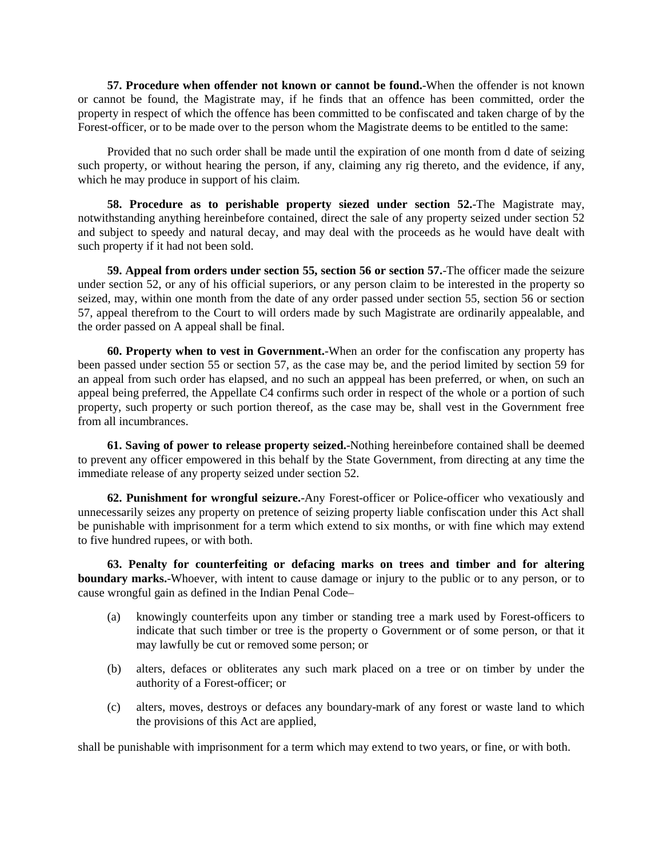**57. Procedure when offender not known or cannot be found.**-When the offender is not known or cannot be found, the Magistrate may, if he finds that an offence has been committed, order the property in respect of which the offence has been committed to be confiscated and taken charge of by the Forest-officer, or to be made over to the person whom the Magistrate deems to be entitled to the same:

Provided that no such order shall be made until the expiration of one month from d date of seizing such property, or without hearing the person, if any, claiming any rig thereto, and the evidence, if any, which he may produce in support of his claim.

**58. Procedure as to perishable property siezed under section 52.**-The Magistrate may, notwithstanding anything hereinbefore contained, direct the sale of any property seized under section 52 and subject to speedy and natural decay, and may deal with the proceeds as he would have dealt with such property if it had not been sold.

**59. Appeal from orders under section 55, section 56 or section 57.**-The officer made the seizure under section 52, or any of his official superiors, or any person claim to be interested in the property so seized, may, within one month from the date of any order passed under section 55, section 56 or section 57, appeal therefrom to the Court to will orders made by such Magistrate are ordinarily appealable, and the order passed on A appeal shall be final.

**60. Property when to vest in Government.**-When an order for the confiscation any property has been passed under section 55 or section 57, as the case may be, and the period limited by section 59 for an appeal from such order has elapsed, and no such an apppeal has been preferred, or when, on such an appeal being preferred, the Appellate C4 confirms such order in respect of the whole or a portion of such property, such property or such portion thereof, as the case may be, shall vest in the Government free from all incumbrances.

**61. Saving of power to release property seized.**-Nothing hereinbefore contained shall be deemed to prevent any officer empowered in this behalf by the State Government, from directing at any time the immediate release of any property seized under section 52.

**62. Punishment for wrongful seizure.**-Any Forest-officer or Police-officer who vexatiously and unnecessarily seizes any property on pretence of seizing property liable confiscation under this Act shall be punishable with imprisonment for a term which extend to six months, or with fine which may extend to five hundred rupees, or with both.

**63. Penalty for counterfeiting or defacing marks on trees and timber and for altering boundary marks.**-Whoever, with intent to cause damage or injury to the public or to any person, or to cause wrongful gain as defined in the Indian Penal Code–

- (a) knowingly counterfeits upon any timber or standing tree a mark used by Forest-officers to indicate that such timber or tree is the property o Government or of some person, or that it may lawfully be cut or removed some person; or
- (b) alters, defaces or obliterates any such mark placed on a tree or on timber by under the authority of a Forest-officer; or
- (c) alters, moves, destroys or defaces any boundary-mark of any forest or waste land to which the provisions of this Act are applied,

shall be punishable with imprisonment for a term which may extend to two years, or fine, or with both.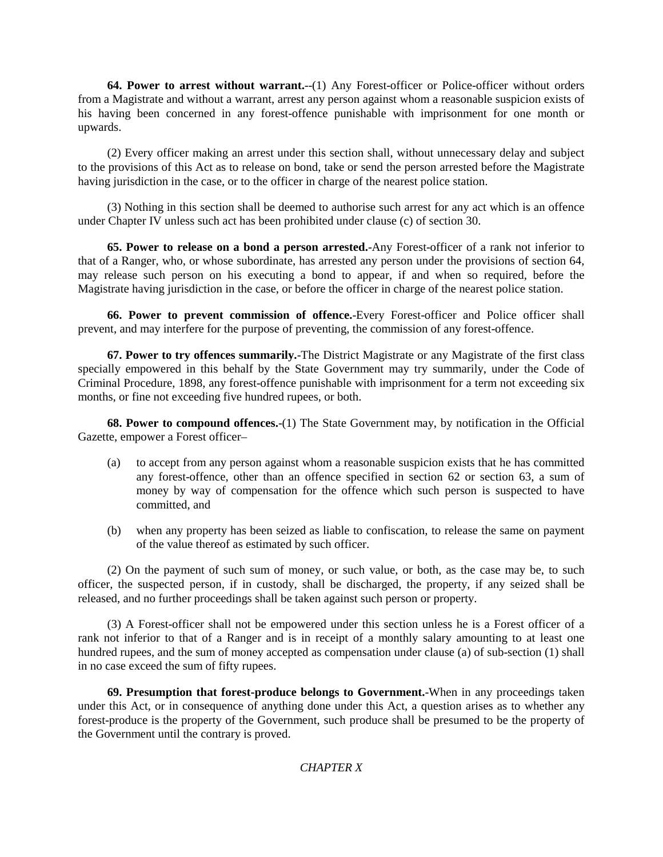**64. Power to arrest without warrant.**--(1) Any Forest-officer or Police-officer without orders from a Magistrate and without a warrant, arrest any person against whom a reasonable suspicion exists of his having been concerned in any forest-offence punishable with imprisonment for one month or upwards.

(2) Every officer making an arrest under this section shall, without unnecessary delay and subject to the provisions of this Act as to release on bond, take or send the person arrested before the Magistrate having jurisdiction in the case, or to the officer in charge of the nearest police station.

(3) Nothing in this section shall be deemed to authorise such arrest for any act which is an offence under Chapter IV unless such act has been prohibited under clause (c) of section 30.

**65. Power to release on a bond a person arrested.**-Any Forest-officer of a rank not inferior to that of a Ranger, who, or whose subordinate, has arrested any person under the provisions of section 64, may release such person on his executing a bond to appear, if and when so required, before the Magistrate having jurisdiction in the case, or before the officer in charge of the nearest police station.

**66. Power to prevent commission of offence.**-Every Forest-officer and Police officer shall prevent, and may interfere for the purpose of preventing, the commission of any forest-offence.

**67. Power to try offences summarily.**-The District Magistrate or any Magistrate of the first class specially empowered in this behalf by the State Government may try summarily, under the Code of Criminal Procedure, 1898, any forest-offence punishable with imprisonment for a term not exceeding six months, or fine not exceeding five hundred rupees, or both.

**68. Power to compound offences.**-(1) The State Government may, by notification in the Official Gazette, empower a Forest officer–

- (a) to accept from any person against whom a reasonable suspicion exists that he has committed any forest-offence, other than an offence specified in section 62 or section 63, a sum of money by way of compensation for the offence which such person is suspected to have committed, and
- (b) when any property has been seized as liable to confiscation, to release the same on payment of the value thereof as estimated by such officer.

(2) On the payment of such sum of money, or such value, or both, as the case may be, to such officer, the suspected person, if in custody, shall be discharged, the property, if any seized shall be released, and no further proceedings shall be taken against such person or property.

(3) A Forest-officer shall not be empowered under this section unless he is a Forest officer of a rank not inferior to that of a Ranger and is in receipt of a monthly salary amounting to at least one hundred rupees, and the sum of money accepted as compensation under clause (a) of sub-section (1) shall in no case exceed the sum of fifty rupees.

**69. Presumption that forest-produce belongs to Government.**-When in any proceedings taken under this Act, or in consequence of anything done under this Act, a question arises as to whether any forest-produce is the property of the Government, such produce shall be presumed to be the property of the Government until the contrary is proved.

## *CHAPTER X*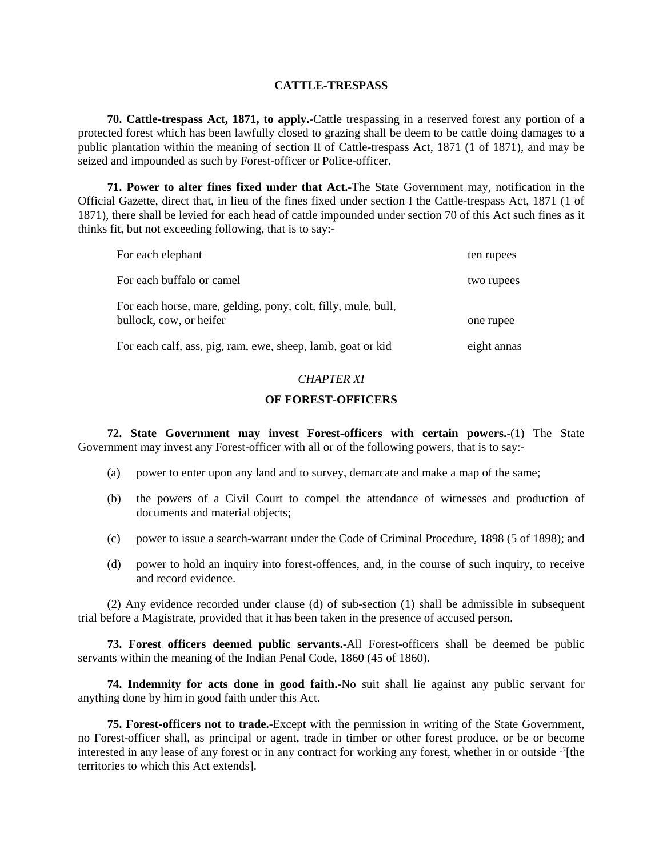#### **CATTLE-TRESPASS**

**70. Cattle-trespass Act, 1871, to apply.**-Cattle trespassing in a reserved forest any portion of a protected forest which has been lawfully closed to grazing shall be deem to be cattle doing damages to a public plantation within the meaning of section II of Cattle-trespass Act, 1871 (1 of 1871), and may be seized and impounded as such by Forest-officer or Police-officer.

**71. Power to alter fines fixed under that Act.**-The State Government may, notification in the Official Gazette, direct that, in lieu of the fines fixed under section I the Cattle-trespass Act, 1871 (1 of 1871), there shall be levied for each head of cattle impounded under section 70 of this Act such fines as it thinks fit, but not exceeding following, that is to say:-

| For each elephant                                                                        | ten rupees  |
|------------------------------------------------------------------------------------------|-------------|
| For each buffalo or camel                                                                | two rupees  |
| For each horse, mare, gelding, pony, colt, filly, mule, bull,<br>bullock, cow, or heifer | one rupee   |
| For each calf, ass, pig, ram, ewe, sheep, lamb, goat or kid                              | eight annas |

#### *CHAPTER XI*

#### **OF FOREST-OFFICERS**

**72. State Government may invest Forest-officers with certain powers.**-(1) The State Government may invest any Forest-officer with all or of the following powers, that is to say:-

- (a) power to enter upon any land and to survey, demarcate and make a map of the same;
- (b) the powers of a Civil Court to compel the attendance of witnesses and production of documents and material objects;
- (c) power to issue a search-warrant under the Code of Criminal Procedure, 1898 (5 of 1898); and
- (d) power to hold an inquiry into forest-offences, and, in the course of such inquiry, to receive and record evidence.

(2) Any evidence recorded under clause (d) of sub-section (1) shall be admissible in subsequent trial before a Magistrate, provided that it has been taken in the presence of accused person.

**73. Forest officers deemed public servants.**-All Forest-officers shall be deemed be public servants within the meaning of the Indian Penal Code, 1860 (45 of 1860).

**74. Indemnity for acts done in good faith.**-No suit shall lie against any public servant for anything done by him in good faith under this Act.

**75. Forest-officers not to trade.**-Except with the permission in writing of the State Government, no Forest-officer shall, as principal or agent, trade in timber or other forest produce, or be or become interested in any lease of any forest or in any contract for working any forest, whether in or outside 17[the territories to which this Act extends].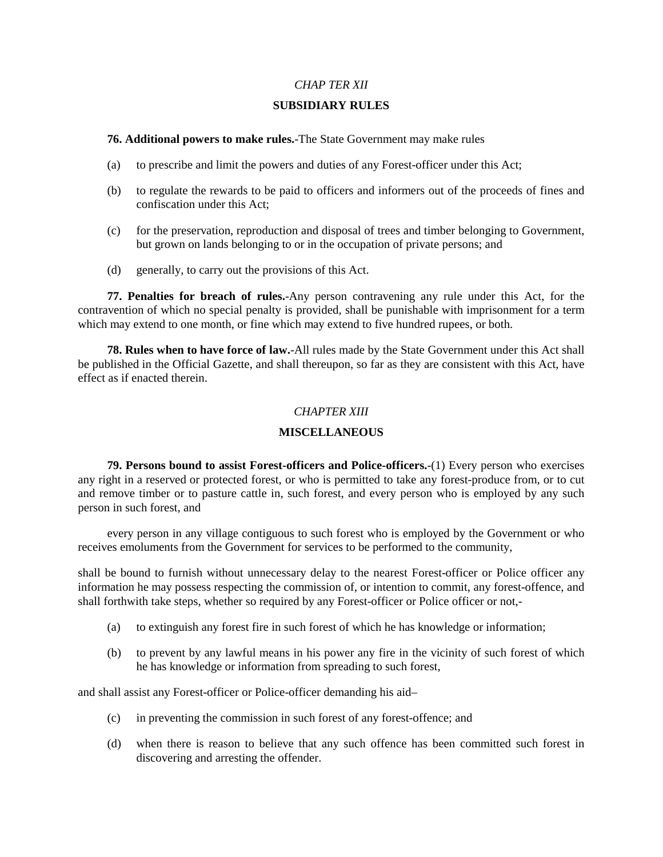### *CHAP TER XII*

#### **SUBSIDIARY RULES**

#### **76. Additional powers to make rules.**-The State Government may make rules

- (a) to prescribe and limit the powers and duties of any Forest-officer under this Act;
- (b) to regulate the rewards to be paid to officers and informers out of the proceeds of fines and confiscation under this Act;
- (c) for the preservation, reproduction and disposal of trees and timber belonging to Government, but grown on lands belonging to or in the occupation of private persons; and
- (d) generally, to carry out the provisions of this Act.

**77. Penalties for breach of rules.**-Any person contravening any rule under this Act, for the contravention of which no special penalty is provided, shall be punishable with imprisonment for a term which may extend to one month, or fine which may extend to five hundred rupees, or both.

**78. Rules when to have force of law.**-All rules made by the State Government under this Act shall be published in the Official Gazette, and shall thereupon, so far as they are consistent with this Act, have effect as if enacted therein.

### *CHAPTER XIII*

### **MISCELLANEOUS**

**79. Persons bound to assist Forest-officers and Police-officers.**-(1) Every person who exercises any right in a reserved or protected forest, or who is permitted to take any forest-produce from, or to cut and remove timber or to pasture cattle in, such forest, and every person who is employed by any such person in such forest, and

every person in any village contiguous to such forest who is employed by the Government or who receives emoluments from the Government for services to be performed to the community,

shall be bound to furnish without unnecessary delay to the nearest Forest-officer or Police officer any information he may possess respecting the commission of, or intention to commit, any forest-offence, and shall forthwith take steps, whether so required by any Forest-officer or Police officer or not,-

- (a) to extinguish any forest fire in such forest of which he has knowledge or information;
- (b) to prevent by any lawful means in his power any fire in the vicinity of such forest of which he has knowledge or information from spreading to such forest,

and shall assist any Forest-officer or Police-officer demanding his aid–

- (c) in preventing the commission in such forest of any forest-offence; and
- (d) when there is reason to believe that any such offence has been committed such forest in discovering and arresting the offender.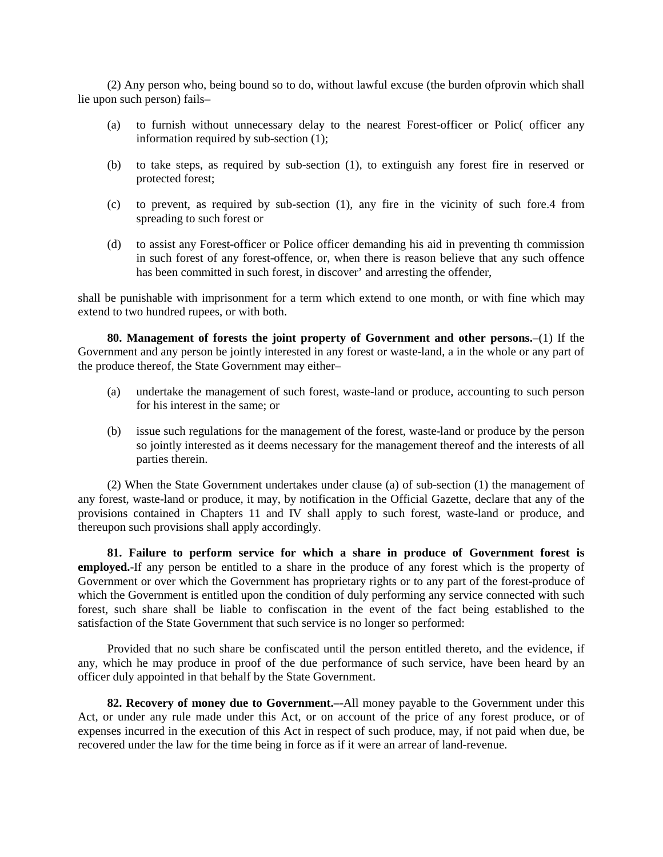(2) Any person who, being bound so to do, without lawful excuse (the burden ofprovin which shall lie upon such person) fails–

- (a) to furnish without unnecessary delay to the nearest Forest-officer or Polic( officer any information required by sub-section (1);
- (b) to take steps, as required by sub-section (1), to extinguish any forest fire in reserved or protected forest;
- (c) to prevent, as required by sub-section (1), any fire in the vicinity of such fore.4 from spreading to such forest or
- (d) to assist any Forest-officer or Police officer demanding his aid in preventing th commission in such forest of any forest-offence, or, when there is reason believe that any such offence has been committed in such forest, in discover' and arresting the offender,

shall be punishable with imprisonment for a term which extend to one month, or with fine which may extend to two hundred rupees, or with both.

**80. Management of forests the joint property of Government and other persons.**–(1) If the Government and any person be jointly interested in any forest or waste-land, a in the whole or any part of the produce thereof, the State Government may either–

- (a) undertake the management of such forest, waste-land or produce, accounting to such person for his interest in the same; or
- (b) issue such regulations for the management of the forest, waste-land or produce by the person so jointly interested as it deems necessary for the management thereof and the interests of all parties therein.

(2) When the State Government undertakes under clause (a) of sub-section (1) the management of any forest, waste-land or produce, it may, by notification in the Official Gazette, declare that any of the provisions contained in Chapters 11 and IV shall apply to such forest, waste-land or produce, and thereupon such provisions shall apply accordingly.

**81. Failure to perform service for which a share in produce of Government forest is employed.**-If any person be entitled to a share in the produce of any forest which is the property of Government or over which the Government has proprietary rights or to any part of the forest-produce of which the Government is entitled upon the condition of duly performing any service connected with such forest, such share shall be liable to confiscation in the event of the fact being established to the satisfaction of the State Government that such service is no longer so performed:

Provided that no such share be confiscated until the person entitled thereto, and the evidence, if any, which he may produce in proof of the due performance of such service, have been heard by an officer duly appointed in that behalf by the State Government.

**82. Recovery of money due to Government.–**-All money payable to the Government under this Act, or under any rule made under this Act, or on account of the price of any forest produce, or of expenses incurred in the execution of this Act in respect of such produce, may, if not paid when due, be recovered under the law for the time being in force as if it were an arrear of land-revenue.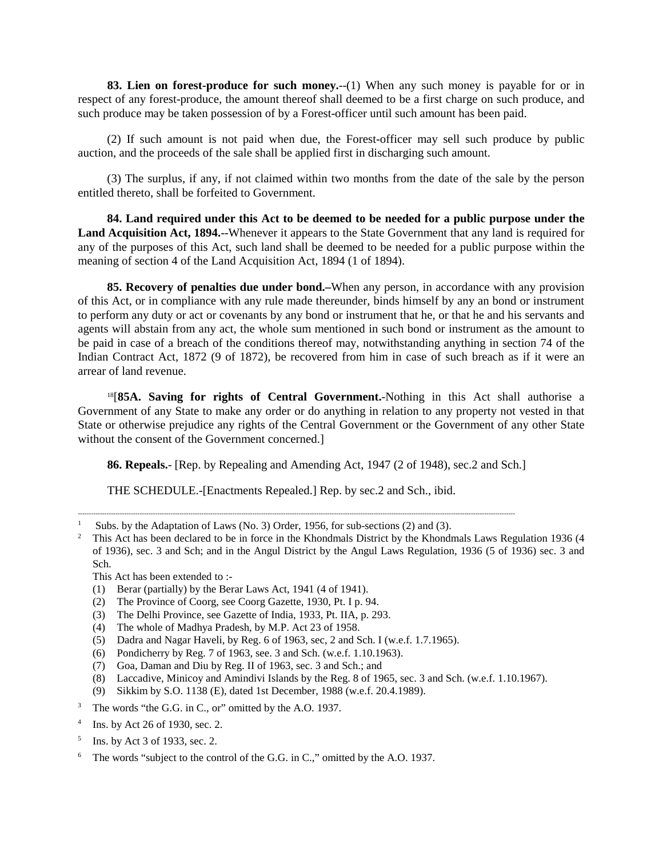**83. Lien on forest-produce for such money.**--(1) When any such money is payable for or in respect of any forest-produce, the amount thereof shall deemed to be a first charge on such produce, and such produce may be taken possession of by a Forest-officer until such amount has been paid.

(2) If such amount is not paid when due, the Forest-officer may sell such produce by public auction, and the proceeds of the sale shall be applied first in discharging such amount.

(3) The surplus, if any, if not claimed within two months from the date of the sale by the person entitled thereto, shall be forfeited to Government.

**84. Land required under this Act to be deemed to be needed for a public purpose under the Land Acquisition Act, 1894.**--Whenever it appears to the State Government that any land is required for any of the purposes of this Act, such land shall be deemed to be needed for a public purpose within the meaning of section 4 of the Land Acquisition Act, 1894 (1 of 1894).

**85. Recovery of penalties due under bond.–**When any person, in accordance with any provision of this Act, or in compliance with any rule made thereunder, binds himself by any an bond or instrument to perform any duty or act or covenants by any bond or instrument that he, or that he and his servants and agents will abstain from any act, the whole sum mentioned in such bond or instrument as the amount to be paid in case of a breach of the conditions thereof may, notwithstanding anything in section 74 of the Indian Contract Act, 1872 (9 of 1872), be recovered from him in case of such breach as if it were an arrear of land revenue.

18[**85A. Saving for rights of Central Government.**-Nothing in this Act shall authorise a Government of any State to make any order or do anything in relation to any property not vested in that State or otherwise prejudice any rights of the Central Government or the Government of any other State without the consent of the Government concerned.]

**86. Repeals.**- [Rep. by Repealing and Amending Act, 1947 (2 of 1948), sec.2 and Sch.]

THE SCHEDULE.-[Enactments Repealed.] Rep. by sec.2 and Sch., ibid.

------------------------------------------------------------------------------------------------------------------------------------------------------------------------------------------------------

This Act has been extended to :-

- (1) Berar (partially) by the Berar Laws Act, 1941 (4 of 1941).
- (2) The Province of Coorg, see Coorg Gazette, 1930, Pt. I p. 94.
- (3) The Delhi Province, see Gazette of India, 1933, Pt. IIA, p. 293.
- (4) The whole of Madhya Pradesh, by M.P. Act 23 of 1958.
- (5) Dadra and Nagar Haveli, by Reg. 6 of 1963, sec, 2 and Sch. I (w.e.f. 1.7.1965).
- (6) Pondicherry by Reg. 7 of 1963, see. 3 and Sch. (w.e.f. 1.10.1963).
- (7) Goa, Daman and Diu by Reg. II of 1963, sec. 3 and Sch.; and
- (8) Laccadive, Minicoy and Amindivi Islands by the Reg. 8 of 1965, sec. 3 and Sch. (w.e.f. 1.10.1967).
- (9) Sikkim by S.O. 1138 (E), dated 1st December, 1988 (w.e.f. 20.4.1989).
- <sup>3</sup> The words "the G.G. in C., or" omitted by the A.O. 1937.
- <sup>4</sup> Ins. by Act 26 of 1930, sec. 2.
- <sup>5</sup> Ins. by Act 3 of 1933, sec. 2.
- The words "subject to the control of the G.G. in C.," omitted by the A.O. 1937.

<sup>&</sup>lt;sup>1</sup> Subs. by the Adaptation of Laws (No. 3) Order, 1956, for sub-sections (2) and (3).<br><sup>2</sup> This Act has been declared to be in force in the Khondmals District by the Khondmal

<sup>2</sup> This Act has been declared to be in force in the Khondmals District by the Khondmals Laws Regulation 1936 (4 of 1936), sec. 3 and Sch; and in the Angul District by the Angul Laws Regulation, 1936 (5 of 1936) sec. 3 and Sch.